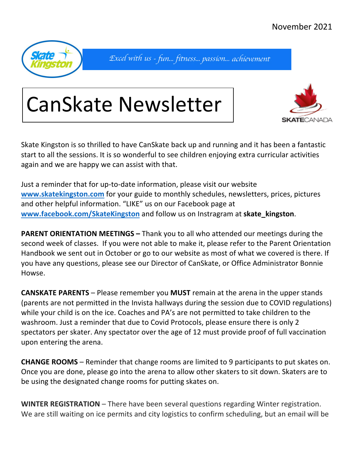

Excel with us - fun... fitness... passion... achievement

# CanSkate Newsletter



Skate Kingston is so thrilled to have CanSkate back up and running and it has been a fantastic start to all the sessions. It is so wonderful to see children enjoying extra curricular activities again and we are happy we can assist with that.

Just a reminder that for up-to-date information, please visit our website **www.skatekingston.com** for your guide to monthly schedules, newsletters, prices, pictures and other helpful information. "LIKE" us on our Facebook page at **www.facebook.com/SkateKingston** and follow us on Instragram at **skate\_kingston**.

**PARENT ORIENTATION MEETINGS –** Thank you to all who attended our meetings during the second week of classes. If you were not able to make it, please refer to the Parent Orientation Handbook we sent out in October or go to our website as most of what we covered is there. If you have any questions, please see our Director of CanSkate, or Office Administrator Bonnie Howse.

**CANSKATE PARENTS** – Please remember you **MUST** remain at the arena in the upper stands (parents are not permitted in the Invista hallways during the session due to COVID regulations) while your child is on the ice. Coaches and PA's are not permitted to take children to the washroom. Just a reminder that due to Covid Protocols, please ensure there is only 2 spectators per skater. Any spectator over the age of 12 must provide proof of full vaccination upon entering the arena.

**CHANGE ROOMS** – Reminder that change rooms are limited to 9 participants to put skates on. Once you are done, please go into the arena to allow other skaters to sit down. Skaters are to be using the designated change rooms for putting skates on.

**WINTER REGISTRATION** – There have been several questions regarding Winter registration. We are still waiting on ice permits and city logistics to confirm scheduling, but an email will be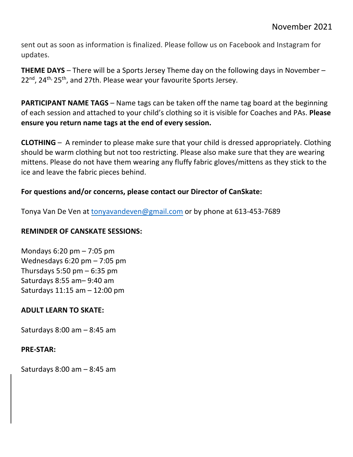sent out as soon as information is finalized. Please follow us on Facebook and Instagram for updates.

**THEME DAYS** – There will be a Sports Jersey Theme day on the following days in November – 22<sup>nd</sup>, 24<sup>th,</sup> 25<sup>th</sup>, and 27th. Please wear your favourite Sports Jersey.

**PARTICIPANT NAME TAGS** – Name tags can be taken off the name tag board at the beginning of each session and attached to your child's clothing so it is visible for Coaches and PAs. **Please ensure you return name tags at the end of every session.** 

**CLOTHING** – A reminder to please make sure that your child is dressed appropriately. Clothing should be warm clothing but not too restricting. Please also make sure that they are wearing mittens. Please do not have them wearing any fluffy fabric gloves/mittens as they stick to the ice and leave the fabric pieces behind.

## **For questions and/or concerns, please contact our Director of CanSkate:**

Tonya Van De Ven at tonyavandeven@gmail.com or by phone at 613-453-7689

### **REMINDER OF CANSKATE SESSIONS:**

Mondays 6:20 pm – 7:05 pm Wednesdays 6:20 pm – 7:05 pm Thursdays  $5:50$  pm  $-6:35$  pm Saturdays 8:55 am– 9:40 am Saturdays 11:15 am – 12:00 pm

# **ADULT LEARN TO SKATE:**

Saturdays 8:00 am – 8:45 am

#### **PRE-STAR:**

Saturdays 8:00 am – 8:45 am